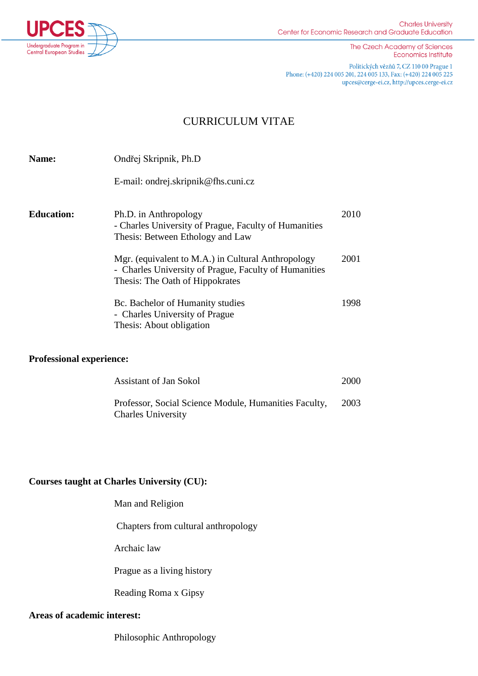

The Czech Academy of Sciences **Economics Institute** 

Politických vězňů 7, CZ 110 00 Prague 1 Phone: (+420) 224 005 201, 224 005 133, Fax: (+420) 224 005 225 upces@cerge-ei.cz, http://upces.cerge-ei.cz

## CURRICULUM VITAE

| <b>Name:</b>      | Ondřej Skripnik, Ph.D                                                                                                                          |      |
|-------------------|------------------------------------------------------------------------------------------------------------------------------------------------|------|
|                   | E-mail: ondrej.skripnik@fhs.cuni.cz                                                                                                            |      |
| <b>Education:</b> | Ph.D. in Anthropology<br>- Charles University of Prague, Faculty of Humanities<br>Thesis: Between Ethology and Law                             | 2010 |
|                   | Mgr. (equivalent to M.A.) in Cultural Anthropology<br>- Charles University of Prague, Faculty of Humanities<br>Thesis: The Oath of Hippokrates | 2001 |
|                   | Bc. Bachelor of Humanity studies<br>- Charles University of Prague<br>Thesis: About obligation                                                 | 1998 |

## **Professional experience:**

| <b>Assistant of Jan Sokol</b>                                                      | 2000 |
|------------------------------------------------------------------------------------|------|
| Professor, Social Science Module, Humanities Faculty,<br><b>Charles University</b> | 2003 |

## **Courses taught at Charles University (CU):**

Man and Religion

Chapters from cultural anthropology

Archaic law

Prague as a living history

Reading Roma x Gipsy

## **Areas of academic interest:**

Philosophic Anthropology